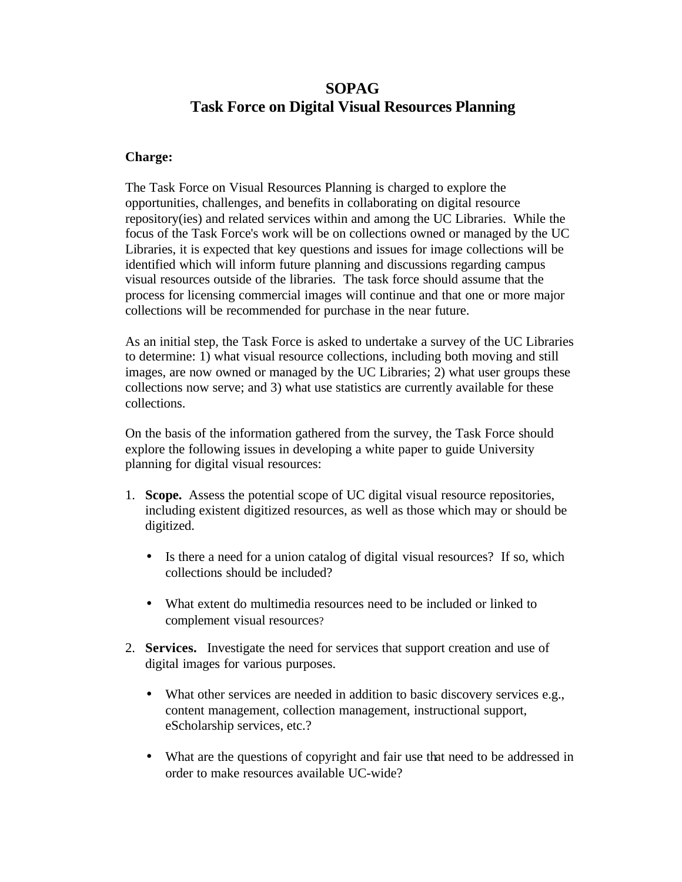# **SOPAG Task Force on Digital Visual Resources Planning**

#### **Charge:**

The Task Force on Visual Resources Planning is charged to explore the opportunities, challenges, and benefits in collaborating on digital resource repository(ies) and related services within and among the UC Libraries. While the focus of the Task Force's work will be on collections owned or managed by the UC Libraries, it is expected that key questions and issues for image collections will be identified which will inform future planning and discussions regarding campus visual resources outside of the libraries. The task force should assume that the process for licensing commercial images will continue and that one or more major collections will be recommended for purchase in the near future.

As an initial step, the Task Force is asked to undertake a survey of the UC Libraries to determine: 1) what visual resource collections, including both moving and still images, are now owned or managed by the UC Libraries; 2) what user groups these collections now serve; and 3) what use statistics are currently available for these collections.

On the basis of the information gathered from the survey, the Task Force should explore the following issues in developing a white paper to guide University planning for digital visual resources:

- 1. **Scope.** Assess the potential scope of UC digital visual resource repositories, including existent digitized resources, as well as those which may or should be digitized.
	- Is there a need for a union catalog of digital visual resources? If so, which collections should be included?
	- What extent do multimedia resources need to be included or linked to complement visual resources?
- 2. **Services.** Investigate the need for services that support creation and use of digital images for various purposes.
	- What other services are needed in addition to basic discovery services e.g., content management, collection management, instructional support, eScholarship services, etc.?
	- What are the questions of copyright and fair use that need to be addressed in order to make resources available UC-wide?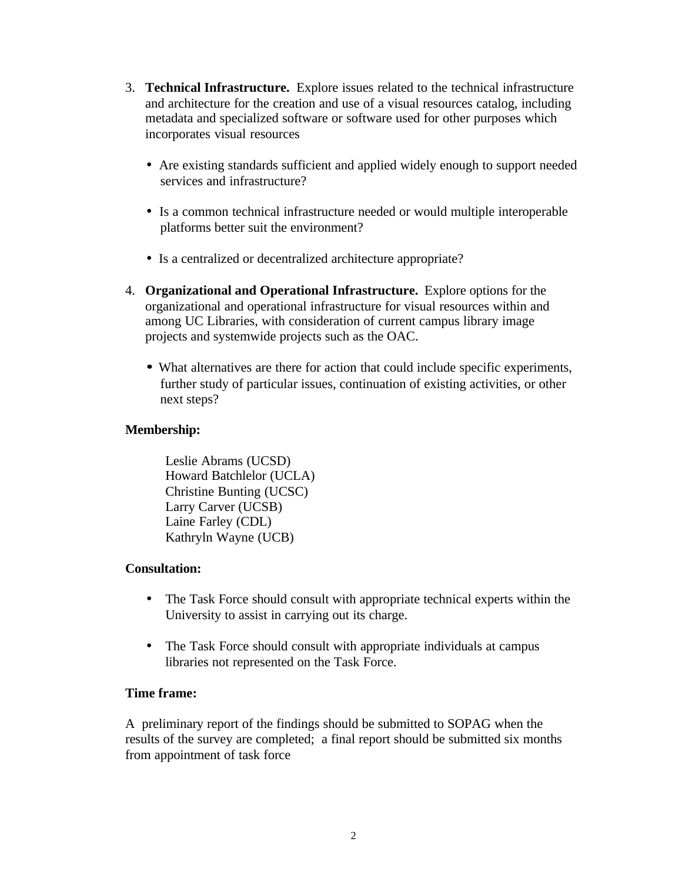- 3. **Technical Infrastructure.** Explore issues related to the technical infrastructure and architecture for the creation and use of a visual resources catalog, including metadata and specialized software or software used for other purposes which incorporates visual resources
	- Are existing standards sufficient and applied widely enough to support needed services and infrastructure?
	- Is a common technical infrastructure needed or would multiple interoperable platforms better suit the environment?
	- Is a centralized or decentralized architecture appropriate?
- 4. **Organizational and Operational Infrastructure.** Explore options for the organizational and operational infrastructure for visual resources within and among UC Libraries, with consideration of current campus library image projects and systemwide projects such as the OAC.
	- **·** What alternatives are there for action that could include specific experiments, further study of particular issues, continuation of existing activities, or other next steps?

#### **Membership:**

```
Leslie Abrams (UCSD)
Howard Batchlelor (UCLA)
Christine Bunting (UCSC)
Larry Carver (UCSB)
Laine Farley (CDL)
Kathryln Wayne (UCB)
```
## **Consultation:**

- The Task Force should consult with appropriate technical experts within the University to assist in carrying out its charge.
- The Task Force should consult with appropriate individuals at campus libraries not represented on the Task Force.

## **Time frame:**

A preliminary report of the findings should be submitted to SOPAG when the results of the survey are completed; a final report should be submitted six months from appointment of task force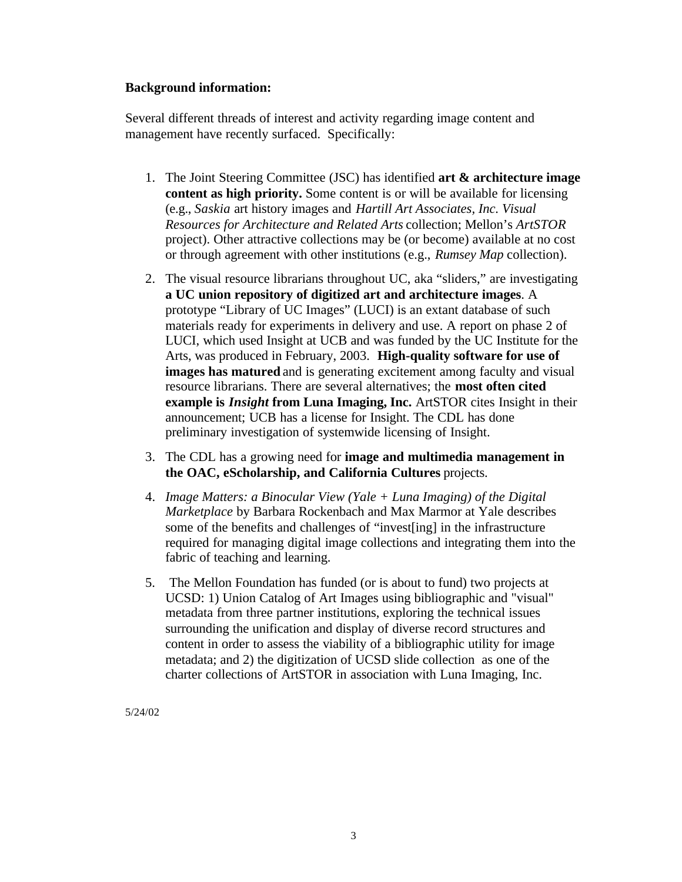#### **Background information:**

Several different threads of interest and activity regarding image content and management have recently surfaced. Specifically:

- 1. The Joint Steering Committee (JSC) has identified **art & architecture image content as high priority.** Some content is or will be available for licensing (e.g., *Saskia* art history images and *Hartill Art Associates, Inc. Visual Resources for Architecture and Related Arts* collection; Mellon's *ArtSTOR* project). Other attractive collections may be (or become) available at no cost or through agreement with other institutions (e.g., *Rumsey Map* collection).
- 2. The visual resource librarians throughout UC, aka "sliders," are investigating **a UC union repository of digitized art and architecture images**. A prototype "Library of UC Images" (LUCI) is an extant database of such materials ready for experiments in delivery and use. A report on phase 2 of LUCI, which used Insight at UCB and was funded by the UC Institute for the Arts, was produced in February, 2003. **High-quality software for use of images has matured** and is generating excitement among faculty and visual resource librarians. There are several alternatives; the **most often cited example is** *Insight* **from Luna Imaging, Inc.** ArtSTOR cites Insight in their announcement; UCB has a license for Insight. The CDL has done preliminary investigation of systemwide licensing of Insight.
- 3. The CDL has a growing need for **image and multimedia management in the OAC, eScholarship, and California Cultures** projects.
- 4. *Image Matters: a Binocular View (Yale + Luna Imaging) of the Digital Marketplace* by Barbara Rockenbach and Max Marmor at Yale describes some of the benefits and challenges of "invest[ing] in the infrastructure required for managing digital image collections and integrating them into the fabric of teaching and learning.
- 5. The Mellon Foundation has funded (or is about to fund) two projects at UCSD: 1) Union Catalog of Art Images using bibliographic and "visual" metadata from three partner institutions, exploring the technical issues surrounding the unification and display of diverse record structures and content in order to assess the viability of a bibliographic utility for image metadata; and 2) the digitization of UCSD slide collection as one of the charter collections of ArtSTOR in association with Luna Imaging, Inc.

5/24/02